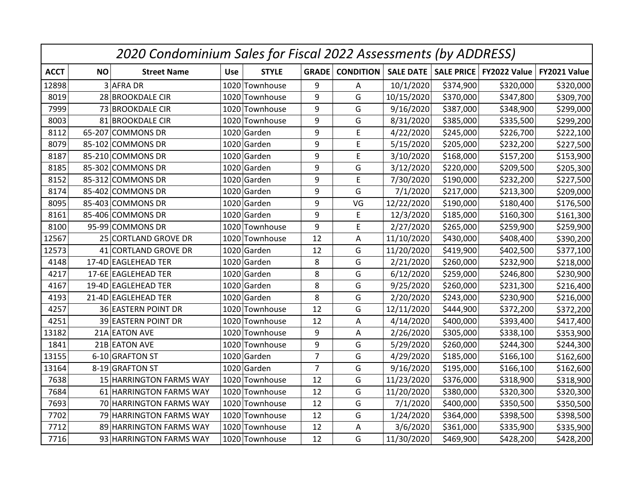| 2020 Condominium Sales for Fiscal 2022 Assessments (by ADDRESS) |           |                         |                            |                |                  |            |           |                                       |              |  |
|-----------------------------------------------------------------|-----------|-------------------------|----------------------------|----------------|------------------|------------|-----------|---------------------------------------|--------------|--|
| <b>ACCT</b>                                                     | <b>NO</b> | <b>Street Name</b>      | <b>STYLE</b><br><b>Use</b> | <b>GRADE</b>   | <b>CONDITION</b> |            |           | SALE DATE   SALE PRICE   FY2022 Value | FY2021 Value |  |
| 12898                                                           |           | 3 AFRA DR               | 1020 Townhouse             | 9              | Α                | 10/1/2020  | \$374,900 | \$320,000                             | \$320,000    |  |
| 8019                                                            |           | 28 BROOKDALE CIR        | 1020 Townhouse             | 9              | G                | 10/15/2020 | \$370,000 | \$347,800                             | \$309,700    |  |
| 7999                                                            |           | 73 BROOKDALE CIR        | 1020 Townhouse             | 9              | G                | 9/16/2020  | \$387,000 | \$348,900                             | \$299,000    |  |
| 8003                                                            |           | 81 BROOKDALE CIR        | 1020 Townhouse             | 9              | G                | 8/31/2020  | \$385,000 | \$335,500                             | \$299,200    |  |
| 8112                                                            |           | 65-207 COMMONS DR       | 1020 Garden                | 9              | E                | 4/22/2020  | \$245,000 | \$226,700                             | \$222,100    |  |
| 8079                                                            |           | 85-102 COMMONS DR       | 1020 Garden                | 9              | E                | 5/15/2020  | \$205,000 | \$232,200                             | \$227,500    |  |
| 8187                                                            |           | 85-210 COMMONS DR       | 1020 Garden                | 9              | E                | 3/10/2020  | \$168,000 | \$157,200                             | \$153,900    |  |
| 8185                                                            |           | 85-302 COMMONS DR       | 1020 Garden                | 9              | G                | 3/12/2020  | \$220,000 | \$209,500                             | \$205,300    |  |
| 8152                                                            |           | 85-312 COMMONS DR       | 1020 Garden                | 9              | E                | 7/30/2020  | \$190,000 | \$232,200                             | \$227,500    |  |
| 8174                                                            |           | 85-402 COMMONS DR       | 1020 Garden                | 9              | G                | 7/1/2020   | \$217,000 | \$213,300                             | \$209,000    |  |
| 8095                                                            |           | 85-403 COMMONS DR       | 1020 Garden                | 9              | VG               | 12/22/2020 | \$190,000 | \$180,400                             | \$176,500    |  |
| 8161                                                            |           | 85-406 COMMONS DR       | 1020 Garden                | 9              | E                | 12/3/2020  | \$185,000 | \$160,300                             | \$161,300    |  |
| 8100                                                            |           | 95-99 COMMONS DR        | 1020 Townhouse             | 9              | E                | 2/27/2020  | \$265,000 | \$259,900                             | \$259,900    |  |
| 12567                                                           |           | 25 CORTLAND GROVE DR    | 1020 Townhouse             | 12             | Α                | 11/10/2020 | \$430,000 | \$408,400                             | \$390,200    |  |
| 12573                                                           |           | 41 CORTLAND GROVE DR    | 1020 Garden                | 12             | G                | 11/20/2020 | \$419,900 | \$402,500                             | \$377,100    |  |
| 4148                                                            |           | 17-4D EAGLEHEAD TER     | 1020 Garden                | 8              | G                | 2/21/2020  | \$260,000 | \$232,900                             | \$218,000    |  |
| 4217                                                            |           | 17-6E EAGLEHEAD TER     | 1020 Garden                | 8              | G                | 6/12/2020  | \$259,000 | \$246,800                             | \$230,900    |  |
| 4167                                                            |           | 19-4D EAGLEHEAD TER     | 1020 Garden                | 8              | G                | 9/25/2020  | \$260,000 | \$231,300                             | \$216,400    |  |
| 4193                                                            |           | 21-4D EAGLEHEAD TER     | 1020 Garden                | 8              | G                | 2/20/2020  | \$243,000 | \$230,900                             | \$216,000    |  |
| 4257                                                            |           | 36 EASTERN POINT DR     | 1020 Townhouse             | 12             | G                | 12/11/2020 | \$444,900 | \$372,200                             | \$372,200    |  |
| 4251                                                            |           | 39 EASTERN POINT DR     | 1020 Townhouse             | 12             | Α                | 4/14/2020  | \$400,000 | \$393,400                             | \$417,400    |  |
| 13182                                                           |           | 21A EATON AVE           | 1020 Townhouse             | 9              | A                | 2/26/2020  | \$305,000 | \$338,100                             | \$353,900    |  |
| 1841                                                            |           | 21B EATON AVE           | 1020 Townhouse             | 9              | G                | 5/29/2020  | \$260,000 | \$244,300                             | \$244,300    |  |
| 13155                                                           |           | 6-10 GRAFTON ST         | 1020 Garden                | $\overline{7}$ | G                | 4/29/2020  | \$185,000 | \$166,100                             | \$162,600    |  |
| 13164                                                           |           | 8-19 GRAFTON ST         | 1020 Garden                | $\overline{7}$ | G                | 9/16/2020  | \$195,000 | \$166,100                             | \$162,600    |  |
| 7638                                                            |           | 15 HARRINGTON FARMS WAY | 1020 Townhouse             | 12             | G                | 11/23/2020 | \$376,000 | \$318,900                             | \$318,900    |  |
| 7684                                                            |           | 61 HARRINGTON FARMS WAY | 1020 Townhouse             | 12             | G                | 11/20/2020 | \$380,000 | \$320,300                             | \$320,300    |  |
| 7693                                                            |           | 70 HARRINGTON FARMS WAY | 1020 Townhouse             | 12             | G                | 7/1/2020   | \$400,000 | \$350,500                             | \$350,500    |  |
| 7702                                                            |           | 79 HARRINGTON FARMS WAY | 1020 Townhouse             | 12             | G                | 1/24/2020  | \$364,000 | \$398,500                             | \$398,500    |  |
| 7712                                                            |           | 89 HARRINGTON FARMS WAY | 1020 Townhouse             | 12             | Α                | 3/6/2020   | \$361,000 | \$335,900                             | \$335,900    |  |
| 7716                                                            |           | 93 HARRINGTON FARMS WAY | 1020 Townhouse             | 12             | G                | 11/30/2020 | \$469,900 | \$428,200                             | \$428,200    |  |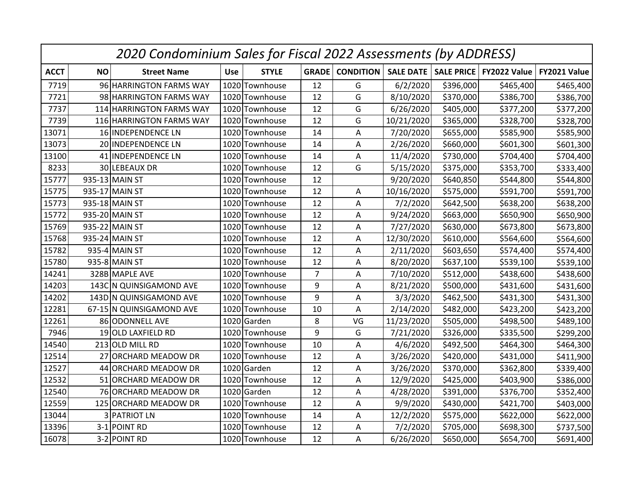| 2020 Condominium Sales for Fiscal 2022 Assessments (by ADDRESS) |           |                          |            |                |                |                  |            |           |                                       |              |
|-----------------------------------------------------------------|-----------|--------------------------|------------|----------------|----------------|------------------|------------|-----------|---------------------------------------|--------------|
| <b>ACCT</b>                                                     | <b>NO</b> | <b>Street Name</b>       | <b>Use</b> | <b>STYLE</b>   | <b>GRADE</b>   | <b>CONDITION</b> |            |           | SALE DATE   SALE PRICE   FY2022 Value | FY2021 Value |
| 7719                                                            |           | 96 HARRINGTON FARMS WAY  |            | 1020 Townhouse | 12             | G                | 6/2/2020   | \$396,000 | \$465,400                             | \$465,400    |
| 7721                                                            |           | 98 HARRINGTON FARMS WAY  |            | 1020 Townhouse | 12             | G                | 8/10/2020  | \$370,000 | \$386,700                             | \$386,700    |
| 7737                                                            |           | 114 HARRINGTON FARMS WAY |            | 1020 Townhouse | 12             | G                | 6/26/2020  | \$405,000 | \$377,200                             | \$377,200    |
| 7739                                                            |           | 116 HARRINGTON FARMS WAY |            | 1020 Townhouse | 12             | G                | 10/21/2020 | \$365,000 | \$328,700                             | \$328,700    |
| 13071                                                           |           | 16 INDEPENDENCE LN       |            | 1020 Townhouse | 14             | A                | 7/20/2020  | \$655,000 | \$585,900                             | \$585,900    |
| 13073                                                           |           | 20 INDEPENDENCE LN       |            | 1020 Townhouse | 14             | A                | 2/26/2020  | \$660,000 | \$601,300                             | \$601,300    |
| 13100                                                           |           | 41 INDEPENDENCE LN       |            | 1020 Townhouse | 14             | A                | 11/4/2020  | \$730,000 | \$704,400                             | \$704,400    |
| 8233                                                            |           | 30 LEBEAUX DR            |            | 1020 Townhouse | 12             | G                | 5/15/2020  | \$375,000 | \$353,700                             | \$333,400    |
| 15777                                                           |           | 935-13 MAIN ST           |            | 1020 Townhouse | 12             |                  | 9/20/2020  | \$640,850 | \$544,800                             | \$544,800    |
| 15775                                                           |           | 935-17 MAIN ST           |            | 1020 Townhouse | 12             | A                | 10/16/2020 | \$575,000 | \$591,700                             | \$591,700    |
| 15773                                                           |           | 935-18 MAIN ST           |            | 1020 Townhouse | 12             | A                | 7/2/2020   | \$642,500 | \$638,200                             | \$638,200    |
| 15772                                                           |           | 935-20 MAIN ST           |            | 1020 Townhouse | 12             | Α                | 9/24/2020  | \$663,000 | \$650,900                             | \$650,900    |
| 15769                                                           |           | 935-22 MAIN ST           |            | 1020 Townhouse | 12             | A                | 7/27/2020  | \$630,000 | \$673,800                             | \$673,800    |
| 15768                                                           |           | 935-24 MAIN ST           |            | 1020 Townhouse | 12             | Α                | 12/30/2020 | \$610,000 | \$564,600                             | \$564,600    |
| 15782                                                           |           | 935-4 MAIN ST            |            | 1020 Townhouse | 12             | A                | 2/11/2020  | \$603,650 | \$574,400                             | \$574,400    |
| 15780                                                           |           | 935-8 MAIN ST            |            | 1020 Townhouse | 12             | Α                | 8/20/2020  | \$637,100 | \$539,100                             | \$539,100    |
| 14241                                                           |           | 328B MAPLE AVE           |            | 1020 Townhouse | $\overline{7}$ | Α                | 7/10/2020  | \$512,000 | \$438,600                             | \$438,600    |
| 14203                                                           |           | 143C N QUINSIGAMOND AVE  |            | 1020 Townhouse | 9              | A                | 8/21/2020  | \$500,000 | \$431,600                             | \$431,600    |
| 14202                                                           |           | 143D N QUINSIGAMOND AVE  |            | 1020 Townhouse | 9              | A                | 3/3/2020   | \$462,500 | \$431,300                             | \$431,300    |
| 12281                                                           |           | 67-15 N QUINSIGAMOND AVE |            | 1020 Townhouse | 10             | Α                | 2/14/2020  | \$482,000 | \$423,200                             | \$423,200    |
| 12261                                                           |           | 86 ODONNELL AVE          |            | 1020 Garden    | 8              | VG               | 11/23/2020 | \$505,000 | \$498,500                             | \$489,100    |
| 7946                                                            |           | 19 OLD LAXFIELD RD       |            | 1020 Townhouse | 9              | G                | 7/21/2020  | \$326,000 | \$335,500                             | \$299,200    |
| 14540                                                           |           | 213 OLD MILL RD          |            | 1020 Townhouse | 10             | A                | 4/6/2020   | \$492,500 | \$464,300                             | \$464,300    |
| 12514                                                           |           | 27 ORCHARD MEADOW DR     |            | 1020 Townhouse | 12             | Α                | 3/26/2020  | \$420,000 | \$431,000                             | \$411,900    |
| 12527                                                           |           | 44 ORCHARD MEADOW DR     |            | 1020 Garden    | 12             | Α                | 3/26/2020  | \$370,000 | \$362,800                             | \$339,400    |
| 12532                                                           |           | 51 ORCHARD MEADOW DR     |            | 1020 Townhouse | 12             | A                | 12/9/2020  | \$425,000 | \$403,900                             | \$386,000    |
| 12540                                                           |           | 76 ORCHARD MEADOW DR     |            | 1020 Garden    | 12             | A                | 4/28/2020  | \$391,000 | \$376,700                             | \$352,400    |
| 12559                                                           |           | 125 ORCHARD MEADOW DR    |            | 1020 Townhouse | 12             | Α                | 9/9/2020   | \$430,000 | \$421,700                             | \$403,000    |
| 13044                                                           |           | 3 PATRIOT LN             |            | 1020 Townhouse | 14             | Α                | 12/2/2020  | \$575,000 | \$622,000                             | \$622,000    |
| 13396                                                           |           | 3-1 POINT RD             |            | 1020 Townhouse | 12             | A                | 7/2/2020   | \$705,000 | \$698,300                             | \$737,500    |
| 16078                                                           |           | 3-2 POINT RD             |            | 1020 Townhouse | 12             | A                | 6/26/2020  | \$650,000 | \$654,700                             | \$691,400    |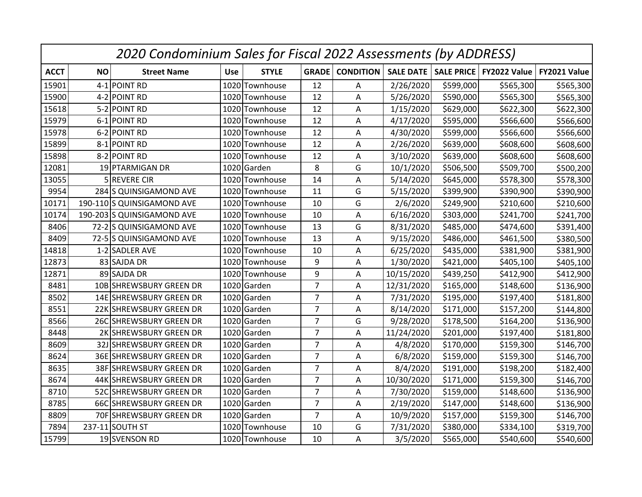| 2020 Condominium Sales for Fiscal 2022 Assessments (by ADDRESS) |           |                            |                            |                |                  |            |           |                                       |              |  |
|-----------------------------------------------------------------|-----------|----------------------------|----------------------------|----------------|------------------|------------|-----------|---------------------------------------|--------------|--|
| <b>ACCT</b>                                                     | <b>NO</b> | <b>Street Name</b>         | <b>STYLE</b><br><b>Use</b> | <b>GRADE</b>   | <b>CONDITION</b> |            |           | SALE DATE   SALE PRICE   FY2022 Value | FY2021 Value |  |
| 15901                                                           |           | 4-1 POINT RD               | 1020 Townhouse             | 12             | Α                | 2/26/2020  | \$599,000 | \$565,300                             | \$565,300    |  |
| 15900                                                           |           | 4-2 POINT RD               | 1020 Townhouse             | 12             | Α                | 5/26/2020  | \$590,000 | \$565,300                             | \$565,300    |  |
| 15618                                                           |           | 5-2 POINT RD               | 1020 Townhouse             | 12             | Α                | 1/15/2020  | \$629,000 | \$622,300                             | \$622,300    |  |
| 15979                                                           |           | 6-1 POINT RD               | 1020 Townhouse             | 12             | Α                | 4/17/2020  | \$595,000 | \$566,600                             | \$566,600    |  |
| 15978                                                           |           | 6-2 POINT RD               | 1020 Townhouse             | 12             | A                | 4/30/2020  | \$599,000 | \$566,600                             | \$566,600    |  |
| 15899                                                           |           | 8-1 POINT RD               | 1020 Townhouse             | 12             | A                | 2/26/2020  | \$639,000 | \$608,600                             | \$608,600    |  |
| 15898                                                           |           | 8-2 POINT RD               | 1020 Townhouse             | 12             | A                | 3/10/2020  | \$639,000 | \$608,600                             | \$608,600    |  |
| 12081                                                           |           | 19 PTARMIGAN DR            | 1020 Garden                | 8              | G                | 10/1/2020  | \$506,500 | \$509,700                             | \$500,200    |  |
| 13055                                                           |           | 5 REVERE CIR               | 1020 Townhouse             | 14             | Α                | 5/14/2020  | \$645,000 | \$578,300                             | \$578,300    |  |
| 9954                                                            |           | 284 S QUINSIGAMOND AVE     | 1020 Townhouse             | 11             | G                | 5/15/2020  | \$399,900 | \$390,900                             | \$390,900    |  |
| 10171                                                           |           | 190-110 S QUINSIGAMOND AVE | 1020 Townhouse             | 10             | G                | 2/6/2020   | \$249,900 | \$210,600                             | \$210,600    |  |
| 10174                                                           |           | 190-203 S QUINSIGAMOND AVE | 1020 Townhouse             | 10             | Α                | 6/16/2020  | \$303,000 | \$241,700                             | \$241,700    |  |
| 8406                                                            |           | 72-2 S QUINSIGAMOND AVE    | 1020 Townhouse             | 13             | G                | 8/31/2020  | \$485,000 | \$474,600                             | \$391,400    |  |
| 8409                                                            |           | 72-5 S QUINSIGAMOND AVE    | 1020 Townhouse             | 13             | A                | 9/15/2020  | \$486,000 | \$461,500                             | \$380,500    |  |
| 14818                                                           |           | 1-2 SADLER AVE             | 1020 Townhouse             | 10             | A                | 6/25/2020  | \$435,000 | \$381,900                             | \$381,900    |  |
| 12873                                                           |           | 83 SAJDA DR                | 1020 Townhouse             | 9              | Α                | 1/30/2020  | \$421,000 | \$405,100                             | \$405,100    |  |
| 12871                                                           |           | 89 SAJDA DR                | 1020 Townhouse             | 9              | Α                | 10/15/2020 | \$439,250 | \$412,900                             | \$412,900    |  |
| 8481                                                            |           | 10B SHREWSBURY GREEN DR    | 1020 Garden                | $\overline{7}$ | A                | 12/31/2020 | \$165,000 | \$148,600                             | \$136,900    |  |
| 8502                                                            |           | 14E SHREWSBURY GREEN DR    | 1020 Garden                | $\overline{7}$ | Α                | 7/31/2020  | \$195,000 | \$197,400                             | \$181,800    |  |
| 8551                                                            |           | 22K SHREWSBURY GREEN DR    | 1020 Garden                | $\overline{7}$ | Α                | 8/14/2020  | \$171,000 | \$157,200                             | \$144,800    |  |
| 8566                                                            |           | 26C SHREWSBURY GREEN DR    | 1020 Garden                | $\overline{7}$ | G                | 9/28/2020  | \$178,500 | \$164,200                             | \$136,900    |  |
| 8448                                                            |           | 2K SHREWSBURY GREEN DR     | 1020 Garden                | $\overline{7}$ | A                | 11/24/2020 | \$201,000 | \$197,400                             | \$181,800    |  |
| 8609                                                            |           | 32J SHREWSBURY GREEN DR    | 1020 Garden                | $\overline{7}$ | A                | 4/8/2020   | \$170,000 | \$159,300                             | \$146,700    |  |
| 8624                                                            |           | 36E SHREWSBURY GREEN DR    | 1020 Garden                | $\overline{7}$ | Α                | 6/8/2020   | \$159,000 | \$159,300                             | \$146,700    |  |
| 8635                                                            |           | 38F SHREWSBURY GREEN DR    | 1020 Garden                | $\overline{7}$ | Α                | 8/4/2020   | \$191,000 | \$198,200                             | \$182,400    |  |
| 8674                                                            |           | 44K SHREWSBURY GREEN DR    | 1020 Garden                | $\overline{7}$ | A                | 10/30/2020 | \$171,000 | \$159,300                             | \$146,700    |  |
| 8710                                                            |           | 52C SHREWSBURY GREEN DR    | 1020 Garden                | $\overline{7}$ | A                | 7/30/2020  | \$159,000 | \$148,600                             | \$136,900    |  |
| 8785                                                            |           | 66C SHREWSBURY GREEN DR    | 1020 Garden                | $\overline{7}$ | Α                | 2/19/2020  | \$147,000 | \$148,600                             | \$136,900    |  |
| 8809                                                            |           | 70F SHREWSBURY GREEN DR    | 1020 Garden                | $\overline{7}$ | Α                | 10/9/2020  | \$157,000 | \$159,300                             | \$146,700    |  |
| 7894                                                            |           | 237-11 SOUTH ST            | 1020 Townhouse             | 10             | G                | 7/31/2020  | \$380,000 | \$334,100                             | \$319,700    |  |
| 15799                                                           |           | 19 SVENSON RD              | 1020 Townhouse             | 10             | A                | 3/5/2020   | \$565,000 | \$540,600                             | \$540,600    |  |